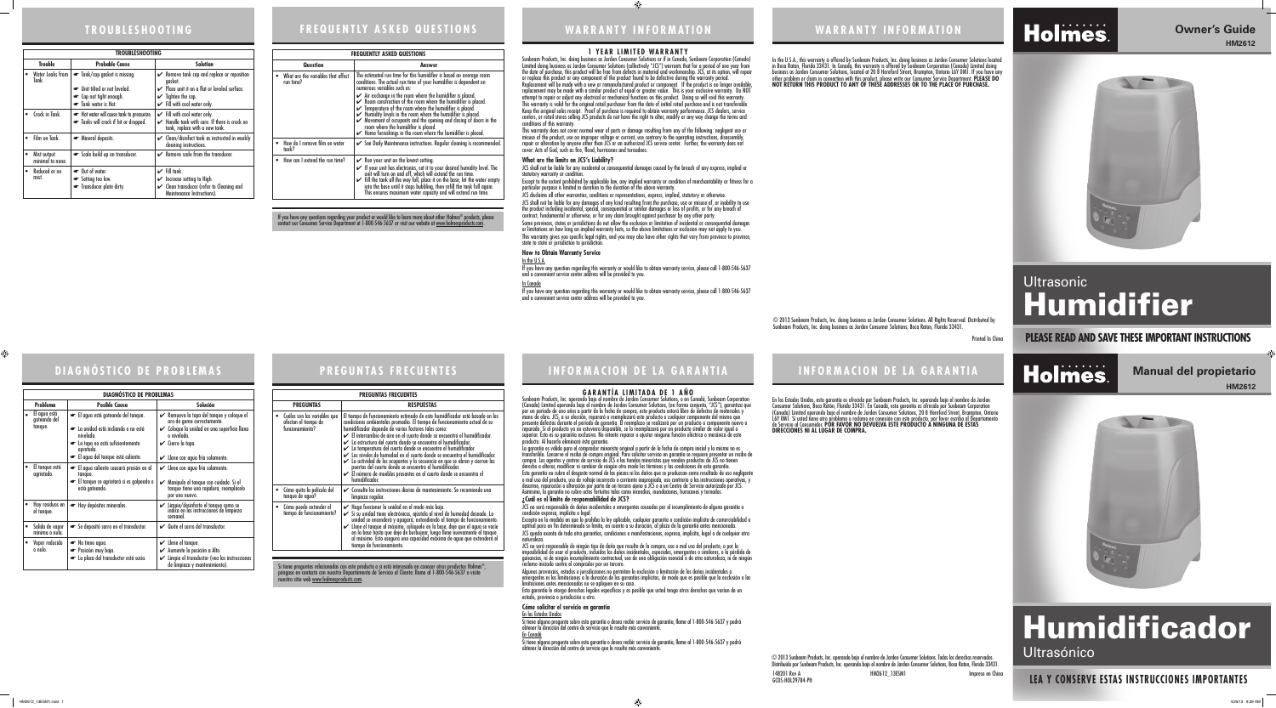### **INFORMACION DE LA GARANTIA INFORMACION DE LA GARANTIA**

Sunbeam Products, Inc. operando bajo el nombre de Jarden Consumer Solutions, o en Canadá, Sunbeam Corporation (Canada) Limited operando bajo el nombre de Jarden Consumer Solutions, (en forma conjunta, "JCS"), garantiza que por un período de uno años a partir de la fecha de compra, este producto estará libre de defectos de materiales y mano de obra. JCS, a su elección, reparará o reemplazará este producto o cualquier componente del mismo que presente defectos durante el período de garantía. El reemplazo se realizará por un producto o componente nuevo o reparado. Si el producto ya no estuviera disponible, se lo reemplazará por un producto similar de valor igual o<br>superior. Esta es su garantía exclusiva. No intente reparar o ajustar ninguna función eléctrica o mecánica de

En los Estados Unidos, esta garantía es ofrecida por Sunbeam Products, Inc. operando bajo el nombre de Jarden Consumer Solutions, Boca Ratón, Florida 33431. En Canadá, esta garantía es ofrecida por Sunbeam Corporation (Canada) Limited operando bajo el nombre de Jarden Consumer Solutions, 20 B Hereford Street, Brampton, Ontario L6Y 0M1. Si usted tiene otro problema o reclamo en conexión con este producto, por favor escriba al Departamento de Servicio al Consumidor. **POR FAVOR NO DEVUELVA ESTE PRODUCTO A NINGUNA DE ESTAS DIRECCIONES NI AL LUGAR DE COMPRA.** 

#### **GARANTÍA LIMITADA DE 1 AÑO**

La garantía es válida para el comprador minorista original a partir de la fecha de compra inicial y la misma no es transferible. Conserve el recibo de compra original. Para solicitar servicio en garantía se requiere presentar un recibo de compra. Los agentes y centros de servicio de JCS o las tiendas minoristas que venden productos de JCS no tienen derecho a alterar, modificar ni cambiar de ningún otro modo los términos y las condiciones de esta garantía.

Esta garantía no cubre el desgaste normal de las piezas ni los daños que se produzcan como resultado de uso negligente o mal uso del producto, uso de voltaje incorrecto o corriente inapropiada, uso contrario a las instrucciones operativas, y desarme, reparación o alteración por parte de un tercero ajeno a JCS o a un Centro de Servicio autorizado por JCS. Asimismo, la garantía no cubre actos fortuitos tales como incendios, inundaciones, huracanes y tornados.

producto. Al hacerlo elimínará ésta garantía. **¿Cuál es el límite de responsabilidad de JCS?**  condición expresa, implícita o legal. naturaleza.

JCS no será responsable de daños incidentales o emergentes causados por el incumplimiento de alguna garantía o

Excepto en la medida en que lo prohíba la ley aplicable, cualquier garantía o condición implícita de comerciabilidad o aptitud para un fin determinado se limita, en cuanto a su duración, al plazo de la garantía antes mencionada. JCS queda exenta de toda otra garantías, condiciones o manifestaciones, expresa, implícita, legal o de cualquier otra

Si tiene alguna pregunta sobre esta garantía o desea recibir servicio de garantía, llame al 1-800-546-5637 y podrá<br>obtener la dirección del centro de servicio que le resulte más conveniente.

Si tiene alguna pregunta sobre esta garantía o desea recibir servicio de garantía, llame al 1-800-546-5637 y podrá<br>obtener la dirección del centro de servicio que le resulte más conveniente.

JCS no será responsable de ningún tipo de daño que resulte de la compra, uso o mal uso del producto, o por la imposibilidad de usar el producto, incluidos los daños incidentales, especiales, emergentes o similares, o la pérdida de ganancias, ni de ningún incumplimiento contractual, sea de una obligación esencial o de otra naturaleza, ni de ningún reclamo iniciado contra el comprador por un tercero. Algunas provincias, estados o jurisdicciones no permiten la exclusión o limitación de los daños incidentales o emergentes ni las limitaciones a la duración de las garantías implícitas, de modo que es posible que la exclusión o las limitaciones antes mencionadas no se apliquen en su caso. Esta garantía le otorga derechos legales específicos y es posible que usted tenga otros derechos que varían de un estado, provincia o jurisdicción a otro.

**How to Obtain Warranty Service** <u>In the U.S.A.</u>

<u>In Canada</u>

## **DIAGNÓSTICO DE PROBLEMAS EREGUNTAS FRECUENTES**

**Cómo solicitar el servicio en garantía**  En los Estados Unidos En Canadá

#### ♠

### **WARRANTY INFORMATION WARRANTY INFORMATION**

In the U.S.A., this warranty is offered by Sunbeam Products, Inc. doing business as Jarden Consumer Solutions located in Boca Raton, Florida 33431. In Canada, this warranty is offered by Sunbeam Corporation (Canada) Limited doing business as Jarden Consumer Solutions, located at 20 B Hereford Street, Brampton, Ontario L6Y 0M1. If you have any other problem or claim in connection with this product, please write our Consumer Service Department. **PLEASE DO NOT RETURN THIS PRODUCT TO ANY OF THESE ADDRESSES OR TO THE PLACE OF PURCHASE.** 

#### **1 YEAR LIMITED WARRANTY**

Sunbeam Products, Inc. doing business as Jarden Consumer Solutions or if in Canada, Sunbeam Corporation (Canada) Limited doing business as Jarden Consumer Solutions (collectively "JCS") warrants that for a period of one year from the date of purchase, this product will be free from defects in material and workmanship. JCS, at its option, will repair or replace this product or any component of the product found to be defective during the warranty period. Replacement will be made with a new or remanufactured product or component. If the product is no longer available, replacement may be made with a similar product of equal or greater value. This is your exclusive warranty. Do NOT attempt to repair or adjust any electrical or mechanical functions on this product. Doing so will void this warranty. This warranty is valid for the original retail purchaser from the date of initial retail purchase and is not transferable. Keep the original sales receipt. Proof of purchase is required to obtain warranty performance. JCS dealers, service centers, or retail stores selling JCS products do not have the right to alter, modify or any way change the terms and

> 148201 Rev A November 2012 HM2612 13ESM1 Impreso en China en Anima GCDS-HOL29784-PH © 2013 Sunbeam Products, Inc. operando bajo el nombre de Jarden Consumer Solutions. Todos los derechos reservados. Distribuido por Sunbeam Products, Inc. operando bajo el nombre de Jarden Consumer Solutions, Boca Raton, Florida 33431.

This warranty does not cover normal wear of parts or damage resulting from any of the following: negligent use or misuse of the product, use on improper voltage or current, use contrary to the operating instructions, disassembly, repair or alteration by anyone other than JCS or an authorized JCS service center. Further, the warranty does not cover: Acts of God, such as fire, flood, hurricanes and tornadoes.

conditions of this warranty. **What are the limits on JCS's Liability?** statutory warranty or condition.

JCS shall not be liable for any incidental or consequential damages caused by the breach of any express, implied or

Except to the extent prohibited by applicable law, any implied warranty or condition of merchantability or fitness for a particular purpose is limited in duration to the duration of the above warranty.

If you have any questions regarding your product or would like to learn more about other Holmes® products, please contact our Consumer Service Department at 1-800-546-5637 or visit our website at www.holmesproducts.com.



Si tiene preguntas relacionadas con este producto o si está interesado en conocer ot póngase en contacto con nuestro Departamento de Servicio al Cliente: llame al 1-800-546-5637 o visite nuestro sitio web www.holmesproducts.com.

JCS disclaims all other warranties, conditions or representations, express, implied, statutory or otherwise. JCS shall not be liable for any damages of any kind resulting from the purchase, use or misuse of, or inability to use the product including incidental, special, consequential or similar damages or loss of profits, or for any breach of contract, fundamental or otherwise, or for any claim brought against purchaser by any other party. Some provinces, states or jurisdictions do not allow the exclusion or limitation of incidental or consequential damages or limitations on how long an implied warranty lasts, so the above limitations or exclusion may not apply to you. This warranty gives you specific legal rights, and you may also have other rights that vary from province to province, state to state or jurisdiction to jurisdiction.

If you have any question regarding this warranty or would like to obtain warranty service, please call 1-800-546-5637 and a convenient service center address will be provided to you.

If you have any question regarding this warranty or would like to obtain warranty service, please call 1-800-546-5637 and a convenient service center address will be provided to you.

Printed In China



### **TROUBLESHOOTING**

|                | TROUBLESHOOTING                 |                                                                                                             |                                                                                                                                                                                            |  |  |  |
|----------------|---------------------------------|-------------------------------------------------------------------------------------------------------------|--------------------------------------------------------------------------------------------------------------------------------------------------------------------------------------------|--|--|--|
| <b>Trouble</b> |                                 | <b>Probable Cause</b>                                                                                       | <b>Solution</b>                                                                                                                                                                            |  |  |  |
|                | Water Leaks from  <br>Tank.     | Tank/cap gasket is missing.<br>Unit tilted or not leveled.<br>• Cap not tight enough.<br>Tank water is Hot. | $\swarrow$ Remove tank cap and replace or reposition<br>gasket.<br>Place unit it on a flat or leveled surface.<br>$\checkmark$ Tighten the cap.<br>$\checkmark$ Fill with cool water only. |  |  |  |
|                | Crack in Tank.                  | Hot water will cause tank to pressurize.<br>Tanks will crack if hit or dropped.                             | $\checkmark$ Fill with cool water only.<br>Handle tank with care. If there is crack on<br>tank, replace with a new tank.                                                                   |  |  |  |
|                | Film on Tank.                   | • Mineral deposits.                                                                                         | ← Clean/disinfect tank as instructed in weekly<br>cleaning instructions.                                                                                                                   |  |  |  |
| $\bullet$      | Mist output<br>minimal to none. | Scale build up on transducer.                                                                               | $\swarrow$ Remove scale from the transducer.                                                                                                                                               |  |  |  |
|                | Reduced or no<br>mist.          | • Out of water.<br>Setting too low.<br>Transducer plate dirty.                                              | $\checkmark$ Fill tank.<br>$\checkmark$ Increase setting to High.<br>Clean transducer (refer to Cleaning and<br>Maintenance Instructions).                                                 |  |  |  |

| <b>FREQUENTLY ASKED QUESTIONS</b><br><b>FREQUENTLY ASKED QUESTIONS</b> |
|------------------------------------------------------------------------|
|                                                                        |
|                                                                        |

|          | FREQUENTLY ASKED QUESTIONS                      |                                                                                                                                                                                                                                                                                                                                                                                                                                                                                                                                                                                                                                                                                                              |  |
|----------|-------------------------------------------------|--------------------------------------------------------------------------------------------------------------------------------------------------------------------------------------------------------------------------------------------------------------------------------------------------------------------------------------------------------------------------------------------------------------------------------------------------------------------------------------------------------------------------------------------------------------------------------------------------------------------------------------------------------------------------------------------------------------|--|
| Question |                                                 | Answer                                                                                                                                                                                                                                                                                                                                                                                                                                                                                                                                                                                                                                                                                                       |  |
|          | What are the variables that affect<br>run time? | The estimated run time for this humidifier is based on average room<br>conditions. The actual run time of your humidifier is dependent on<br>numerous variables such as:<br>$\swarrow$ Air exchange in the room where the humidifier is placed.<br>$\swarrow$ Room construction of the room where the humidifier is placed.<br>$\checkmark$ Temperature of the room where the humidifier is placed.<br>$\blacktriangleright$ Humidity levels in the room where the humidifier is placed.<br>$\triangleright$ Movement of occupants and the opening and closing of doors in the<br>room where the humidifier is placed.<br>$\blacktriangleright$ Home furnishings in the room where the humidifier is placed. |  |
|          | How do I remove film on water<br>tank?          | See Daily Maintenance instructions. Regular cleaning is recommended.                                                                                                                                                                                                                                                                                                                                                                                                                                                                                                                                                                                                                                         |  |
|          | How can I extend the run time?                  | $\swarrow$ Run your unit on the lowest setting.<br>$\checkmark$ If your unit has electronics, set it to your desired humidity level. The<br>unit will turn on and off, which will extend the run time.<br>Fill the tank all the way full, place it on the base, let the water empty<br>into the base until it stops bubbling, then refill the tank full again.<br>This ensures maximum water capacity and will extend run time.                                                                                                                                                                                                                                                                              |  |

|                  | <b>PREGUNTAS FRECUENTES</b>                                             |                                                                                                                                                                                                                                                                                                                                                                                                                                                                                                                                                                                                                                                                                                                                                                          |  |  |  |
|------------------|-------------------------------------------------------------------------|--------------------------------------------------------------------------------------------------------------------------------------------------------------------------------------------------------------------------------------------------------------------------------------------------------------------------------------------------------------------------------------------------------------------------------------------------------------------------------------------------------------------------------------------------------------------------------------------------------------------------------------------------------------------------------------------------------------------------------------------------------------------------|--|--|--|
| <b>PREGUNTAS</b> |                                                                         | <b>RESPUESTAS</b>                                                                                                                                                                                                                                                                                                                                                                                                                                                                                                                                                                                                                                                                                                                                                        |  |  |  |
|                  | Cuáles son las variables que<br>afectan el tiempo de<br>funcionamiento? | El tiempo de funcionamiento estimado de este humidificador está basado en las<br>condiciones ambientales promedio. El tiempo de funcionamiento actual de su<br>humidificador depende de varios factores tales como:<br>$\swarrow$ El intercambio de aire en el cuarto donde se encuentra el humidificador.<br>La estructura del cuarto donde se encuentra el humidificador.<br>$\mathcal V$ La temperatura del cuarto donde se encuentra el humidificador.<br>Los niveles de humedad en el cuarto donde se encuentra el humidificador.<br>► La actividad de los ocupantes y la secuencia en que se abren y cierran las<br>puertas del cuarto donde se encuentra el humidificador.<br>El número de muebles presentes en el cuarto donde se encuentra el<br>humidificador. |  |  |  |
|                  | Cómo quito la película del<br>tanque de agua?                           | ✔ Consulte las instrucciones diarias de mantenimiento. Se recomienda una<br>limpieza regular.                                                                                                                                                                                                                                                                                                                                                                                                                                                                                                                                                                                                                                                                            |  |  |  |
|                  | Cómo puedo extender el<br>tiempo de funcionamiento?                     | Haga funcionar la unidad en el modo más bajo.<br>Si su unidad tiene electrónicos, ajústela al nivel de humedad deseado. La<br>unidad se encenderá y apagará, extendiendo el tiempo de funcionamiento.<br>Llene el tanque al máximo, colóquelo en la base, deje que el agua se vacíe<br>en la base hasta que deje de burbujear, luego llene nuevamente el tanque<br>al máximo. Esto asegura una capacidad máxima de agua que extenderá el<br>tiempo de funcionamiento.                                                                                                                                                                                                                                                                                                    |  |  |  |

| <b>DIAGNÓSTICO DE PROBLEMAS</b>   |                                                           |                                                                                                        |  |  |  |
|-----------------------------------|-----------------------------------------------------------|--------------------------------------------------------------------------------------------------------|--|--|--|
| Problema                          | <b>Posible Causa</b>                                      | Solución                                                                                               |  |  |  |
| El agua está<br>goteando del      | El agua está goteando del tanque.                         | Remueva la tapa del tanque y coloque el<br>✓<br>aro de goma correctamente.                             |  |  |  |
| tanque.                           | La unidad está inclianda o no está<br>nivelada.           | Coloque la unidad en una superficie llana<br>o nivelada.                                               |  |  |  |
|                                   | La tapa no está suficientemente<br>apretada.              | Cierre la tapa.<br>V                                                                                   |  |  |  |
|                                   | El agua del tanque está caliente.                         | Llene con agua fría solamente.<br>✓                                                                    |  |  |  |
| El tanque está<br>agrietado.      | El agua caliente causará presión en el<br>tanque.         | $\mathcal V$ Llene con agua fría solamente.                                                            |  |  |  |
|                                   | El tanque se agrietará si es golpeado o<br>está goteando. | Manipule el tanque con cuidado. Si el<br>V<br>tanque tiene una rajadura, reemplácelo<br>por uno nuevo. |  |  |  |
| Hay residuos en<br>el tanque.     | Hay depósitos minerales.                                  | Limpie/desinfecte el tanque como se<br>indica en las instrucciones de limpieza<br>✓<br>semanal         |  |  |  |
| Salida de vapor<br>mínima o nula. | Se depositó sarro en el transductor.                      | ← Quite el sarro del transductor.                                                                      |  |  |  |
| Vapor reducido                    | • No tiene agua.                                          | Llene el tanque.<br>V                                                                                  |  |  |  |
| o nulo.                           | • Posición muy baja.                                      | Aumente la posición a Alto.                                                                            |  |  |  |
|                                   | La placa del transductor está sucia.                      | Limpie el transductor (vea las instrucciones<br>✓<br>de limpieza y mantenimiento).                     |  |  |  |

### **PLEASE READ AND SAVE THESE IMPORTANT INSTRUCTIONS**

**Owner's Guide** 

**HM2612**

Ultrasonic

Holmes.





### **LEA Y CONSERVE ESTAS INSTRUCCIONES IMPORTANTES**

### **Manual del propietario HM2612**



# Humidificador

Ultrasónico



Holmes.